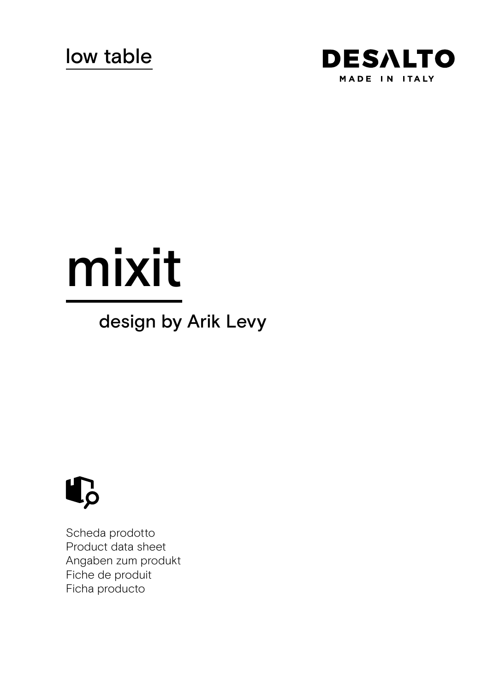

# mixit

# design by Arik Levy



Scheda prodotto Product data sheet Angaben zum produkt Fiche de produit Ficha producto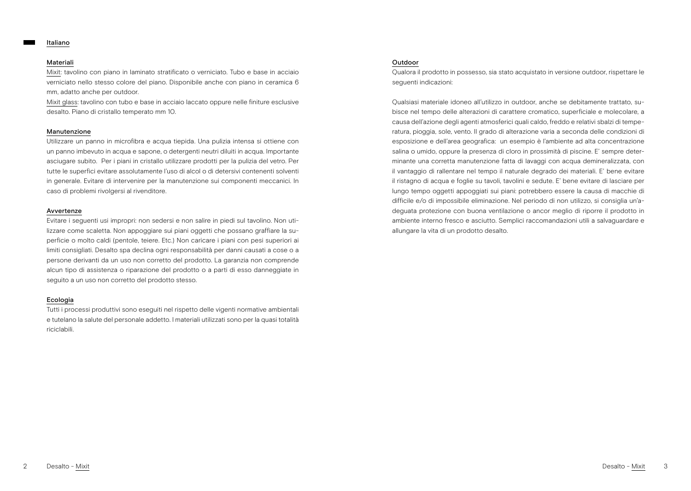#### Italiano

#### Materiali

Mixit: tavolino con piano in laminato stratificato o verniciato. Tubo e base in acciaio verniciato nello stesso colore del piano. Disponibile anche con piano in ceramica 6 mm, adatto anche per outdoor.

Mixit glass: tavolino con tubo e base in acciaio laccato oppure nelle finiture esclusive desalto. Piano di cristallo temperato mm 10.

#### Manutenzione

Utilizzare un panno in microfibra e acqua tiepida. Una pulizia intensa si ottiene con un panno imbevuto in acqua e sapone, o detergenti neutri diluiti in acqua. Importante asciugare subito. Per i piani in cristallo utilizzare prodotti per la pulizia del vetro. Per tutte le superfici evitare assolutamente l'uso di alcol o di detersivi contenenti solventi in generale. Evitare di intervenire per la manutenzione sui componenti meccanici. In caso di problemi rivolgersi al rivenditore.

#### Avvertenze

Evitare i seguenti usi impropri: non sedersi e non salire in piedi sul tavolino. Non utilizzare come scaletta. Non appoggiare sui piani oggetti che possano graffiare la superficie o molto caldi (pentole, teiere. Etc.) Non caricare i piani con pesi superiori ai limiti consigliati. Desalto spa declina ogni responsabilità per danni causati a cose o a persone derivanti da un uso non corretto del prodotto. La garanzia non comprende alcun tipo di assistenza o riparazione del prodotto o a parti di esso danneggiate in seguito a un uso non corretto del prodotto stesso.

#### Ecologia

Tutti i processi produttivi sono eseguiti nel rispetto delle vigenti normative ambientali e tutelano la salute del personale addetto. I materiali utilizzati sono per la quasi totalità riciclabili.

### Outdoor

Qualora il prodotto in possesso, sia stato acquistato in versione outdoor, rispettare le seguenti indicazioni:

Qualsiasi materiale idoneo all'utilizzo in outdoor, anche se debitamente trattato, subisce nel tempo delle alterazioni di carattere cromatico, superficiale e molecolare, a causa dell'azione degli agenti atmosferici quali caldo, freddo e relativi sbalzi di temperatura, pioggia, sole, vento. Il grado di alterazione varia a seconda delle condizioni di esposizione e dell'area geografica: un esempio è l'ambiente ad alta concentrazione salina o umido, oppure la presenza di cloro in prossimità di piscine. E' sempre determinante una corretta manutenzione fatta di lavaggi con acqua demineralizzata, con il vantaggio di rallentare nel tempo il naturale degrado dei materiali. E' bene evitare il ristagno di acqua e foglie su tavoli, tavolini e sedute. E' bene evitare di lasciare per lungo tempo oggetti appoggiati sui piani: potrebbero essere la causa di macchie di difficile e/o di impossibile eliminazione. Nel periodo di non utilizzo, si consiglia un'adeguata protezione con buona ventilazione o ancor meglio di riporre il prodotto in ambiente interno fresco e asciutto. Semplici raccomandazioni utili a salvaguardare e allungare la vita di un prodotto desalto.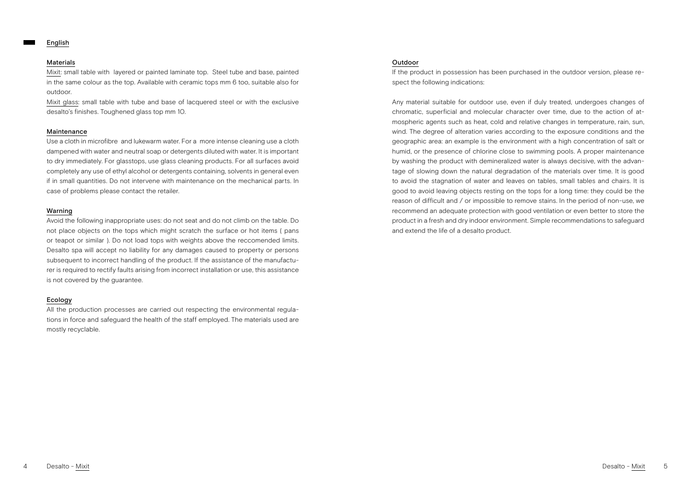### English

#### Materials

Mixit: small table with layered or painted laminate top. Steel tube and base, painted in the same colour as the top. Available with ceramic tops mm 6 too, suitable also for outdoor.

Mixit glass: small table with tube and base of lacquered steel or with the exclusive desalto's finishes. Toughened glass top mm 10.

#### Maintenance

Use a cloth in microfibre and lukewarm water. For a more intense cleaning use a cloth dampened with water and neutral soap or detergents diluted with water. It is important to dry immediately. For glasstops, use glass cleaning products. For all surfaces avoid completely any use of ethyl alcohol or detergents containing, solvents in general even if in small quantities. Do not intervene with maintenance on the mechanical parts. In case of problems please contact the retailer.

## Warning

Avoid the following inappropriate uses: do not seat and do not climb on the table. Do not place objects on the tops which might scratch the surface or hot items ( pans or teapot or similar ). Do not load tops with weights above the reccomended limits. Desalto spa will accept no liability for any damages caused to property or persons subsequent to incorrect handling of the product. If the assistance of the manufacturer is required to rectify faults arising from incorrect installation or use, this assistance is not covered by the guarantee.

#### Ecology

All the production processes are carried out respecting the environmental regulations in force and safeguard the health of the staff employed. The materials used are mostly recyclable.

# Outdoor

If the product in possession has been purchased in the outdoor version, please respect the following indications:

Any material suitable for outdoor use, even if duly treated, undergoes changes of chromatic, superficial and molecular character over time, due to the action of atmospheric agents such as heat, cold and relative changes in temperature, rain, sun, wind. The degree of alteration varies according to the exposure conditions and the geographic area: an example is the environment with a high concentration of salt or humid, or the presence of chlorine close to swimming pools. A proper maintenance by washing the product with demineralized water is always decisive, with the advantage of slowing down the natural degradation of the materials over time. It is good to avoid the stagnation of water and leaves on tables, small tables and chairs. It is good to avoid leaving objects resting on the tops for a long time: they could be the reason of difficult and / or impossible to remove stains. In the period of non-use, we recommend an adequate protection with good ventilation or even better to store the product in a fresh and dry indoor environment. Simple recommendations to safeguard and extend the life of a desalto product.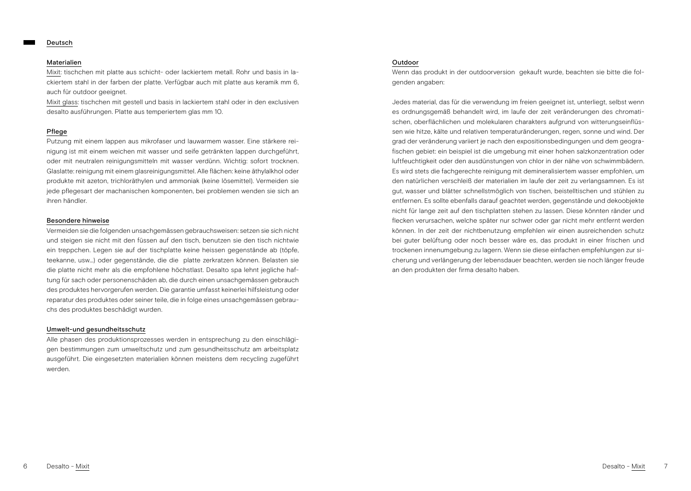#### Deutsch

#### Materialien

Mixit: tischchen mit platte aus schicht- oder lackiertem metall. Rohr und basis in lackiertem stahl in der farben der platte. Verfügbar auch mit platte aus keramik mm 6, auch für outdoor geeignet.

Mixit glass: tischchen mit gestell und basis in lackiertem stahl oder in den exclusiven desalto ausführungen. Platte aus temperiertem glas mm 10.

## Pflege

Putzung mit einem lappen aus mikrofaser und lauwarmem wasser. Eine stärkere reinigung ist mit einem weichen mit wasser und seife getränkten lappen durchgeführt, oder mit neutralen reinigungsmitteln mit wasser verdünn. Wichtig: sofort trocknen. Glaslatte: reinigung mit einem glasreinigungsmittel. Alle flächen: keine äthylalkhol oder produkte mit azeton, trichloräthylen und ammoniak (keine lösemittel). Vermeiden sie jede pflegesart der machanischen komponenten, bei problemen wenden sie sich an ihren händler.

#### Besondere hinweise

Vermeiden sie die folgenden unsachgemässen gebrauchsweisen: setzen sie sich nicht und steigen sie nicht mit den füssen auf den tisch, benutzen sie den tisch nichtwie ein treppchen. Legen sie auf der tischplatte keine heissen gegenstände ab (töpfe, teekanne, usw…) oder gegenstände, die die platte zerkratzen können. Belasten sie die platte nicht mehr als die empfohlene höchstlast. Desalto spa lehnt jegliche haftung für sach oder personenschäden ab, die durch einen unsachgemässen gebrauch des produktes hervorgerufen werden. Die garantie umfasst keinerlei hilfsleistung oder reparatur des produktes oder seiner teile, die in folge eines unsachgemässen gebrauchs des produktes beschädigt wurden.

#### Umwelt-und gesundheitsschutz

Alle phasen des produktionsprozesses werden in entsprechung zu den einschlägigen bestimmungen zum umweltschutz und zum gesundheitsschutz am arbeitsplatz ausgeführt. Die eingesetzten materialien können meistens dem recycling zugeführt werden.

# Outdoor

Wenn das produkt in der outdoorversion gekauft wurde, beachten sie bitte die folgenden angaben:

Jedes material, das für die verwendung im freien geeignet ist, unterliegt, selbst wenn es ordnungsgemäß behandelt wird, im laufe der zeit veränderungen des chromatischen, oberflächlichen und molekularen charakters aufgrund von witterungseinflüssen wie hitze, kälte und relativen temperaturänderungen, regen, sonne und wind. Der grad der veränderung variiert je nach den expositionsbedingungen und dem geografischen gebiet: ein beispiel ist die umgebung mit einer hohen salzkonzentration oder luftfeuchtigkeit oder den ausdünstungen von chlor in der nähe von schwimmbädern. Es wird stets die fachgerechte reinigung mit demineralisiertem wasser empfohlen, um den natürlichen verschleiß der materialien im laufe der zeit zu verlangsamnen. Es ist gut, wasser und blätter schnellstmöglich von tischen, beistelltischen und stühlen zu entfernen. Es sollte ebenfalls darauf geachtet werden, gegenstände und dekoobjekte nicht für lange zeit auf den tischplatten stehen zu lassen. Diese könnten ränder und flecken verursachen, welche später nur schwer oder gar nicht mehr entfernt werden können. In der zeit der nichtbenutzung empfehlen wir einen ausreichenden schutz bei guter belüftung oder noch besser wäre es, das produkt in einer frischen und trockenen innenumgebung zu lagern. Wenn sie diese einfachen empfehlungen zur sicherung und verlängerung der lebensdauer beachten, werden sie noch länger freude an den produkten der firma desalto haben.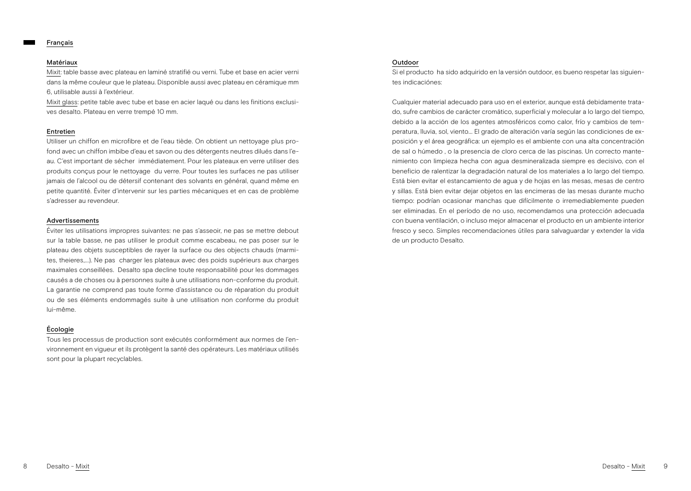### Français

# Matériaux

Mixit: table basse avec plateau en laminé stratifié ou verni. Tube et base en acier verni dans la même couleur que le plateau. Disponible aussi avec plateau en céramique mm 6, utilisable aussi à l'extérieur.

Mixit glass: petite table avec tube et base en acier laqué ou dans les finitions exclusives desalto. Plateau en verre trempé 10 mm.

# Entretien

Utiliser un chiffon en microfibre et de l'eau tiède. On obtient un nettoyage plus profond avec un chiffon imbibe d'eau et savon ou des détergents neutres dilués dans l'eau. C'est important de sécher immédiatement. Pour les plateaux en verre utiliser des produits conçus pour le nettoyage du verre. Pour toutes les surfaces ne pas utiliser jamais de l'alcool ou de détersif contenant des solvants en général, quand même en petite quantité. Éviter d'intervenir sur les parties mécaniques et en cas de problème s'adresser au revendeur.

#### Advertissements

Éviter les utilisations impropres suivantes: ne pas s'asseoir, ne pas se mettre debout sur la table basse, ne pas utiliser le produit comme escabeau, ne pas poser sur le plateau des objets susceptibles de rayer la surface ou des objects chauds (marmites, theieres,...). Ne pas charger les plateaux avec des poids supérieurs aux charges maximales conseillées. Desalto spa decline toute responsabilité pour les dommages causés a de choses ou à personnes suite à une utilisations non-conforme du produit. La garantie ne comprend pas toute forme d'assistance ou de réparation du produit ou de ses éléments endommagés suite à une utilisation non conforme du produit lui-même.

# Écologie

Tous les processus de production sont exécutés conformément aux normes de l'environnement en vigueur et ils protègent la santé des opérateurs. Les matériaux utilisés sont pour la plupart recyclables.

# Outdoor

Si el producto ha sido adquirido en la versión outdoor, es bueno respetar las siguientes indicaciónes:

Cualquier material adecuado para uso en el exterior, aunque está debidamente tratado, sufre cambios de carácter cromático, superficial y molecular a lo largo del tiempo, debido a la acción de los agentes atmosféricos como calor, frío y cambios de temperatura, lluvia, sol, viento... El grado de alteración varía según las condiciones de exposición y el área geográfica: un ejemplo es el ambiente con una alta concentración de sal o húmedo , o la presencia de cloro cerca de las piscinas. Un correcto mantenimiento con limpieza hecha con agua desmineralizada siempre es decisivo, con el beneficio de ralentizar la degradación natural de los materiales a lo largo del tiempo. Está bien evitar el estancamiento de agua y de hojas en las mesas, mesas de centro y sillas. Está bien evitar dejar objetos en las encimeras de las mesas durante mucho tiempo: podrían ocasionar manchas que difícilmente o irremediablemente pueden ser eliminadas. En el período de no uso, recomendamos una protección adecuada con buena ventilación, o incluso mejor almacenar el producto en un ambiente interior fresco y seco. Simples recomendaciones útiles para salvaguardar y extender la vida de un producto Desalto.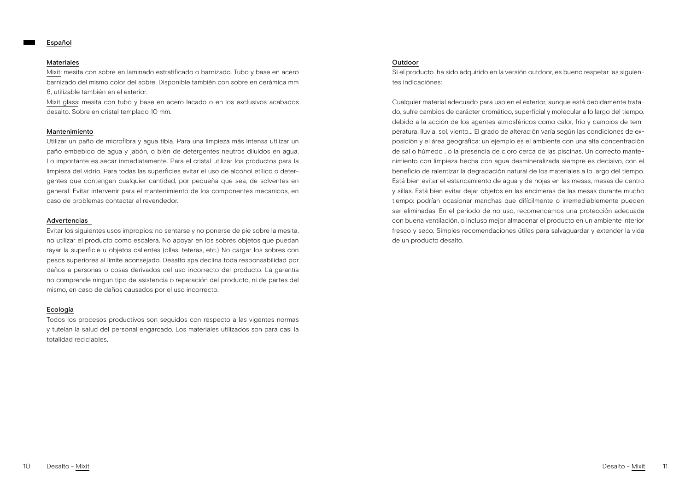#### Español

# Materiales

Mixit: mesita con sobre en laminado estratificado o barnizado. Tubo y base en acero barnizado del mismo color del sobre. Disponible también con sobre en cerámica mm 6, utilizable también en el exterior.

Mixit glass: mesita con tubo y base en acero lacado o en los exclusivos acabados desalto. Sobre en cristal templado 10 mm.

#### Mantenimiento

Utilizar un paño de microfibra y agua tibia. Para una limpieza más intensa utilizar un paño embebido de agua y jabón, o bién de detergentes neutros diluidos en agua. Lo importante es secar inmediatamente. Para el cristal utilizar los productos para la limpieza del vidrio. Para todas las superficies evitar el uso de alcohol etílico o detergentes que contengan cualquier cantidad, por pequeña que sea, de solventes en general. Evitar intervenir para el mantenimiento de los componentes mecanicos, en caso de problemas contactar al revendedor.

#### Advertencias

Evitar los siguientes usos impropios: no sentarse y no ponerse de pie sobre la mesita, no utilizar el producto como escalera. No apoyar en los sobres objetos que puedan rayar la superficie u objetos calientes (ollas, teteras, etc.) No cargar los sobres con pesos superiores al límite aconsejado. Desalto spa declina toda responsabilidad por daños a personas o cosas derivados del uso incorrecto del producto. La garantía no comprende ningun tipo de asistencia o reparación del producto, ni de partes del mismo, en caso de daños causados por el uso incorrecto.

# Ecología

Todos los procesos productivos son seguidos con respecto a las vigentes normas y tutelan la salud del personal engarcado. Los materiales utilizados son para casi la totalidad reciclables.

# Outdoor

Si el producto ha sido adquirido en la versión outdoor, es bueno respetar las siguientes indicaciónes:

Cualquier material adecuado para uso en el exterior, aunque está debidamente tratado, sufre cambios de carácter cromático, superficial y molecular a lo largo del tiempo, debido a la acción de los agentes atmosféricos como calor, frío y cambios de temperatura, lluvia, sol, viento... El grado de alteración varía según las condiciones de exposición y el área geográfica: un ejemplo es el ambiente con una alta concentración de sal o húmedo , o la presencia de cloro cerca de las piscinas. Un correcto mantenimiento con limpieza hecha con agua desmineralizada siempre es decisivo, con el beneficio de ralentizar la degradación natural de los materiales a lo largo del tiempo. Está bien evitar el estancamiento de agua y de hojas en las mesas, mesas de centro y sillas. Está bien evitar dejar objetos en las encimeras de las mesas durante mucho tiempo: podrían ocasionar manchas que difícilmente o irremediablemente pueden ser eliminadas. En el período de no uso, recomendamos una protección adecuada con buena ventilación, o incluso mejor almacenar el producto en un ambiente interior fresco y seco. Simples recomendaciones útiles para salvaguardar y extender la vida de un producto desalto.